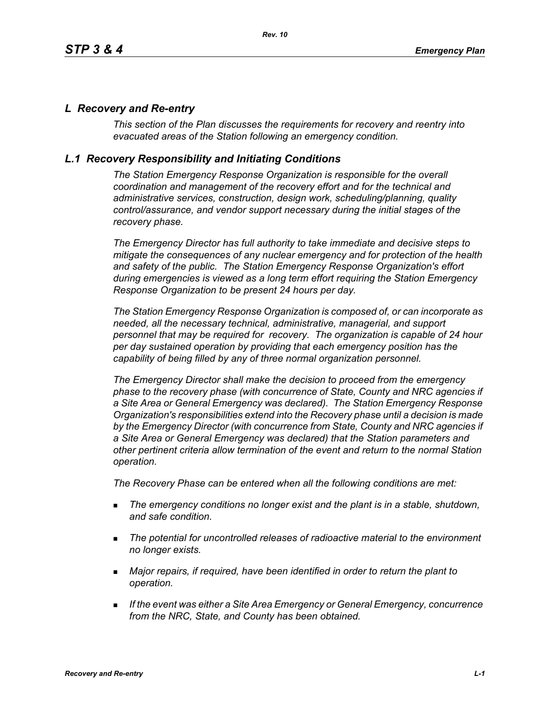### *L Recovery and Re-entry*

*This section of the Plan discusses the requirements for recovery and reentry into evacuated areas of the Station following an emergency condition.* 

## *L.1 Recovery Responsibility and Initiating Conditions*

*The Station Emergency Response Organization is responsible for the overall coordination and management of the recovery effort and for the technical and administrative services, construction, design work, scheduling/planning, quality control/assurance, and vendor support necessary during the initial stages of the recovery phase.*

*The Emergency Director has full authority to take immediate and decisive steps to mitigate the consequences of any nuclear emergency and for protection of the health and safety of the public. The Station Emergency Response Organization's effort during emergencies is viewed as a long term effort requiring the Station Emergency Response Organization to be present 24 hours per day.*

*The Station Emergency Response Organization is composed of, or can incorporate as needed, all the necessary technical, administrative, managerial, and support personnel that may be required for recovery. The organization is capable of 24 hour per day sustained operation by providing that each emergency position has the capability of being filled by any of three normal organization personnel.*

*The Emergency Director shall make the decision to proceed from the emergency phase to the recovery phase (with concurrence of State, County and NRC agencies if a Site Area or General Emergency was declared). The Station Emergency Response Organization's responsibilities extend into the Recovery phase until a decision is made by the Emergency Director (with concurrence from State, County and NRC agencies if a Site Area or General Emergency was declared) that the Station parameters and other pertinent criteria allow termination of the event and return to the normal Station operation.*

*The Recovery Phase can be entered when all the following conditions are met:*

- *The emergency conditions no longer exist and the plant is in a stable, shutdown, and safe condition.*
- *The potential for uncontrolled releases of radioactive material to the environment no longer exists.*
- *Major repairs, if required, have been identified in order to return the plant to operation.*
- *If the event was either a Site Area Emergency or General Emergency, concurrence from the NRC, State, and County has been obtained.*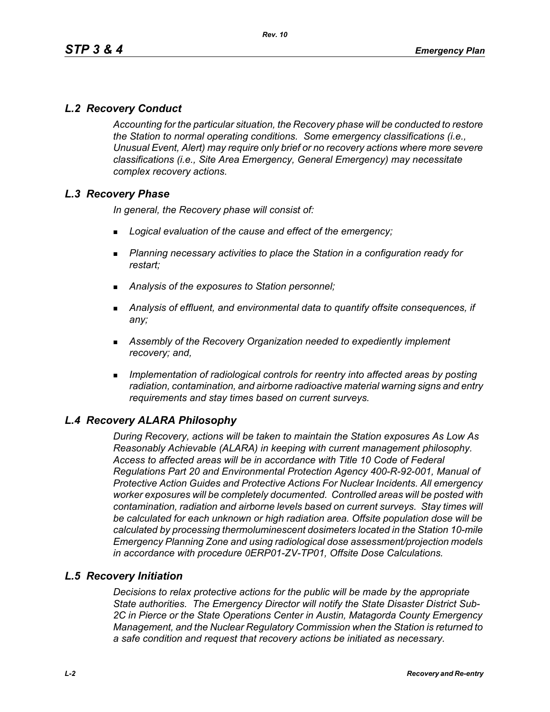# *L.2 Recovery Conduct*

*Accounting for the particular situation, the Recovery phase will be conducted to restore the Station to normal operating conditions. Some emergency classifications (i.e., Unusual Event, Alert) may require only brief or no recovery actions where more severe classifications (i.e., Site Area Emergency, General Emergency) may necessitate complex recovery actions.*

# *L.3 Recovery Phase*

*In general, the Recovery phase will consist of:*

- *Logical evaluation of the cause and effect of the emergency;*
- *Planning necessary activities to place the Station in a configuration ready for restart;*
- *Analysis of the exposures to Station personnel;*
- *Analysis of effluent, and environmental data to quantify offsite consequences, if any;*
- *Assembly of the Recovery Organization needed to expediently implement recovery; and,*
- *Implementation of radiological controls for reentry into affected areas by posting radiation, contamination, and airborne radioactive material warning signs and entry requirements and stay times based on current surveys.*

# *L.4 Recovery ALARA Philosophy*

*During Recovery, actions will be taken to maintain the Station exposures As Low As Reasonably Achievable (ALARA) in keeping with current management philosophy. Access to affected areas will be in accordance with Title 10 Code of Federal Regulations Part 20 and Environmental Protection Agency 400-R-92-001, Manual of Protective Action Guides and Protective Actions For Nuclear Incidents. All emergency worker exposures will be completely documented. Controlled areas will be posted with contamination, radiation and airborne levels based on current surveys. Stay times will be calculated for each unknown or high radiation area. Offsite population dose will be calculated by processing thermoluminescent dosimeters located in the Station 10-mile Emergency Planning Zone and using radiological dose assessment/projection models in accordance with procedure 0ERP01-ZV-TP01, Offsite Dose Calculations.*

### *L.5 Recovery Initiation*

*Decisions to relax protective actions for the public will be made by the appropriate State authorities. The Emergency Director will notify the State Disaster District Sub-2C in Pierce or the State Operations Center in Austin, Matagorda County Emergency Management, and the Nuclear Regulatory Commission when the Station is returned to a safe condition and request that recovery actions be initiated as necessary.*